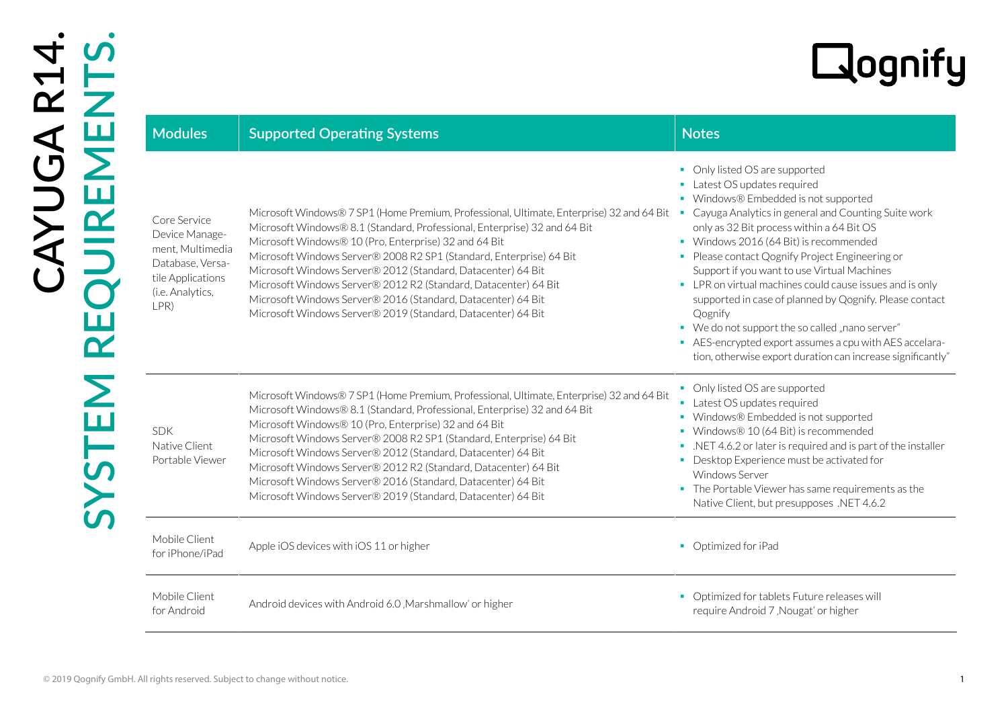| <b>Modules</b>                                                                                                          | <b>Supported Operating Systems</b>                                                                                                                                                                                                                                                                                                                                                                                                                                                                                                                                        | <b>Notes</b>                                                                                                                                                                                                                                                                                                                                                                                                                                                                                                                                                                                                                                                            |
|-------------------------------------------------------------------------------------------------------------------------|---------------------------------------------------------------------------------------------------------------------------------------------------------------------------------------------------------------------------------------------------------------------------------------------------------------------------------------------------------------------------------------------------------------------------------------------------------------------------------------------------------------------------------------------------------------------------|-------------------------------------------------------------------------------------------------------------------------------------------------------------------------------------------------------------------------------------------------------------------------------------------------------------------------------------------------------------------------------------------------------------------------------------------------------------------------------------------------------------------------------------------------------------------------------------------------------------------------------------------------------------------------|
| Core Service<br>Device Manage-<br>ment, Multimedia<br>Database, Versa-<br>tile Applications<br>(i.e. Analytics,<br>LPR) | Microsoft Windows® 7 SP1 (Home Premium, Professional, Ultimate, Enterprise) 32 and 64 Bit<br>Microsoft Windows® 8.1 (Standard, Professional, Enterprise) 32 and 64 Bit<br>Microsoft Windows® 10 (Pro, Enterprise) 32 and 64 Bit<br>Microsoft Windows Server® 2008 R2 SP1 (Standard, Enterprise) 64 Bit<br>Microsoft Windows Server® 2012 (Standard, Datacenter) 64 Bit<br>Microsoft Windows Server® 2012 R2 (Standard, Datacenter) 64 Bit<br>Microsoft Windows Server® 2016 (Standard, Datacenter) 64 Bit<br>Microsoft Windows Server® 2019 (Standard, Datacenter) 64 Bit | • Only listed OS are supported<br>• Latest OS updates required<br>• Windows® Embedded is not supported<br>• Cayuga Analytics in general and Counting Suite work<br>only as 32 Bit process within a 64 Bit OS<br>• Windows 2016 (64 Bit) is recommended<br>• Please contact Qognify Project Engineering or<br>Support if you want to use Virtual Machines<br>• LPR on virtual machines could cause issues and is only<br>supported in case of planned by Qognify. Please contact<br>Qognify<br>• We do not support the so called "nano server"<br>• AES-encrypted export assumes a cpu with AES accelara-<br>tion, otherwise export duration can increase significantly" |
| <b>SDK</b><br>Native Client<br>Portable Viewer                                                                          | Microsoft Windows® 7 SP1 (Home Premium, Professional, Ultimate, Enterprise) 32 and 64 Bit<br>Microsoft Windows® 8.1 (Standard, Professional, Enterprise) 32 and 64 Bit<br>Microsoft Windows® 10 (Pro, Enterprise) 32 and 64 Bit<br>Microsoft Windows Server® 2008 R2 SP1 (Standard, Enterprise) 64 Bit<br>Microsoft Windows Server® 2012 (Standard, Datacenter) 64 Bit<br>Microsoft Windows Server® 2012 R2 (Standard, Datacenter) 64 Bit<br>Microsoft Windows Server® 2016 (Standard, Datacenter) 64 Bit<br>Microsoft Windows Server® 2019 (Standard, Datacenter) 64 Bit | • Only listed OS are supported<br>• Latest OS updates required<br>• Windows® Embedded is not supported<br>• Windows® 10 (64 Bit) is recommended<br>• NET 4.6.2 or later is required and is part of the installer<br>• Desktop Experience must be activated for<br><b>Windows Server</b><br>• The Portable Viewer has same requirements as the<br>Native Client, but presupposes .NET 4.6.2                                                                                                                                                                                                                                                                              |
| Mobile Client<br>for iPhone/iPad                                                                                        | Apple iOS devices with iOS 11 or higher                                                                                                                                                                                                                                                                                                                                                                                                                                                                                                                                   | • Optimized for iPad                                                                                                                                                                                                                                                                                                                                                                                                                                                                                                                                                                                                                                                    |
| Mobile Client<br>for Android                                                                                            | Android devices with Android 6.0, Marshmallow' or higher                                                                                                                                                                                                                                                                                                                                                                                                                                                                                                                  | • Optimized for tablets Future releases will<br>require Android 7, Nougat' or higher                                                                                                                                                                                                                                                                                                                                                                                                                                                                                                                                                                                    |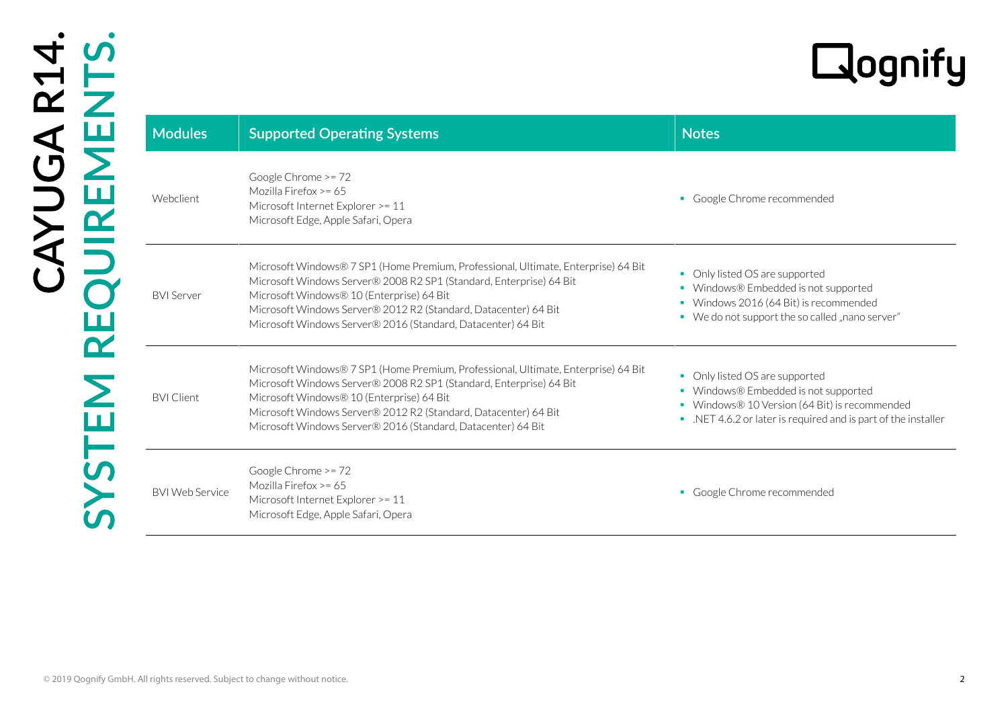# R14.<br>NTS.

| <b>Modules</b>         | <b>Supported Operating Systems</b>                                                                                                                                                                                                                                                                                                        | <b>Notes</b>                                                                                                                                                                             |
|------------------------|-------------------------------------------------------------------------------------------------------------------------------------------------------------------------------------------------------------------------------------------------------------------------------------------------------------------------------------------|------------------------------------------------------------------------------------------------------------------------------------------------------------------------------------------|
| Webclient              | Google Chrome >= 72<br>Mozilla Firefox >= 65<br>Microsoft Internet Explorer >= 11<br>Microsoft Edge, Apple Safari, Opera                                                                                                                                                                                                                  | • Google Chrome recommended                                                                                                                                                              |
| <b>BVI</b> Server      | Microsoft Windows® 7 SP1 (Home Premium, Professional, Ultimate, Enterprise) 64 Bit<br>Microsoft Windows Server® 2008 R2 SP1 (Standard, Enterprise) 64 Bit<br>Microsoft Windows® 10 (Enterprise) 64 Bit<br>Microsoft Windows Server® 2012 R2 (Standard, Datacenter) 64 Bit<br>Microsoft Windows Server® 2016 (Standard, Datacenter) 64 Bit | • Only listed OS are supported<br>• Windows® Embedded is not supported<br>• Windows 2016 (64 Bit) is recommended<br>• We do not support the so called "nano server"                      |
| <b>BVI Client</b>      | Microsoft Windows® 7 SP1 (Home Premium, Professional, Ultimate, Enterprise) 64 Bit<br>Microsoft Windows Server® 2008 R2 SP1 (Standard, Enterprise) 64 Bit<br>Microsoft Windows® 10 (Enterprise) 64 Bit<br>Microsoft Windows Server® 2012 R2 (Standard, Datacenter) 64 Bit<br>Microsoft Windows Server® 2016 (Standard, Datacenter) 64 Bit | • Only listed OS are supported<br>• Windows® Embedded is not supported<br>• Windows® 10 Version (64 Bit) is recommended<br>. NET 4.6.2 or later is required and is part of the installer |
| <b>BVI Web Service</b> | Google Chrome >= 72<br>Mozilla Firefox >= 65<br>Microsoft Internet Explorer >= 11<br>Microsoft Edge, Apple Safari, Opera                                                                                                                                                                                                                  | · Google Chrome recommended                                                                                                                                                              |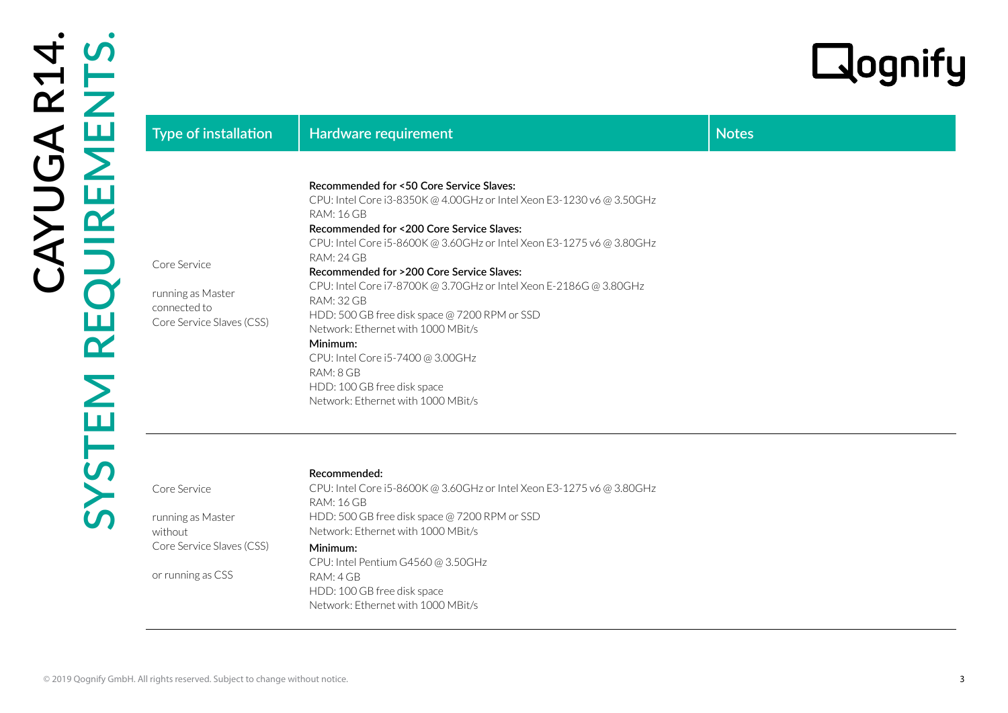| Type of installation                                                                           | <b>Hardware requirement</b>                                                                                                                                                                                                                                                                                                                                                                                                                                                                                                                                                                                                           | <b>Notes</b> |
|------------------------------------------------------------------------------------------------|---------------------------------------------------------------------------------------------------------------------------------------------------------------------------------------------------------------------------------------------------------------------------------------------------------------------------------------------------------------------------------------------------------------------------------------------------------------------------------------------------------------------------------------------------------------------------------------------------------------------------------------|--------------|
| Core Service<br>running as Master<br>connected to<br>Core Service Slaves (CSS)                 | Recommended for <50 Core Service Slaves:<br>CPU: Intel Core i3-8350K @ 4.00GHz or Intel Xeon E3-1230 v6 @ 3.50GHz<br><b>RAM: 16 GB</b><br>Recommended for <200 Core Service Slaves:<br>CPU: Intel Core i5-8600K @ 3.60GHz or Intel Xeon E3-1275 v6 @ 3.80GHz<br>RAM: 24 GB<br>Recommended for >200 Core Service Slaves:<br>CPU: Intel Core i7-8700K @ 3.70GHz or Intel Xeon E-2186G @ 3.80GHz<br>RAM: 32 GB<br>HDD: 500 GB free disk space @ 7200 RPM or SSD<br>Network: Ethernet with 1000 MBit/s<br>Minimum:<br>CPU: Intel Core i5-7400 @ 3.00GHz<br>RAM: 8 GB<br>HDD: 100 GB free disk space<br>Network: Ethernet with 1000 MBit/s |              |
| Core Service<br>running as Master<br>without<br>Core Service Slaves (CSS)<br>or running as CSS | Recommended:<br>CPU: Intel Core i5-8600K @ 3.60GHz or Intel Xeon E3-1275 v6 @ 3.80GHz<br><b>RAM: 16 GB</b><br>HDD: 500 GB free disk space @ 7200 RPM or SSD<br>Network: Ethernet with 1000 MBit/s<br>Minimum:<br>CPU: Intel Pentium G4560@3.50GHz<br>RAM: 4 GB<br>HDD: 100 GB free disk space<br>Network: Ethernet with 1000 MBit/s                                                                                                                                                                                                                                                                                                   |              |

# **Recommended:**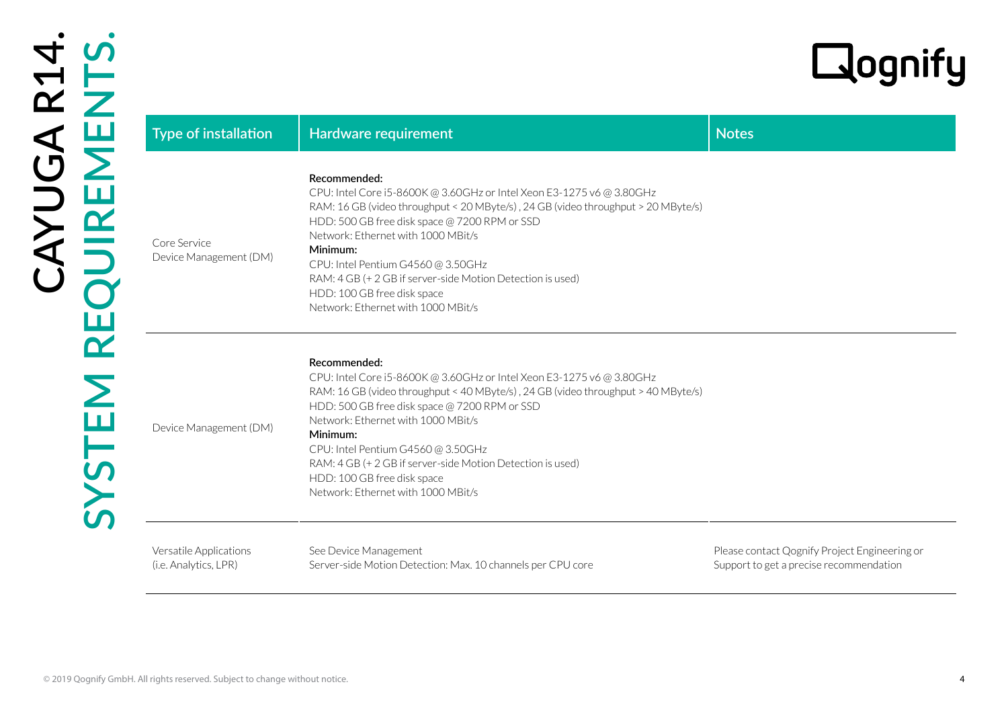| <b>Type of installation</b>                     | Hardware requirement                                                                                                                                                                                                                                                                                                                                                                                                                                   | <b>Notes</b>                                                                             |
|-------------------------------------------------|--------------------------------------------------------------------------------------------------------------------------------------------------------------------------------------------------------------------------------------------------------------------------------------------------------------------------------------------------------------------------------------------------------------------------------------------------------|------------------------------------------------------------------------------------------|
| Core Service<br>Device Management (DM)          | Recommended:<br>CPU: Intel Core i5-8600K @ 3.60GHz or Intel Xeon E3-1275 v6 @ 3.80GHz<br>RAM: 16 GB (video throughput < 20 MByte/s), 24 GB (video throughput > 20 MByte/s)<br>HDD: 500 GB free disk space @ 7200 RPM or SSD<br>Network: Ethernet with 1000 MBit/s<br>Minimum:<br>CPU: Intel Pentium G4560 @ 3.50GHz<br>RAM: 4 GB (+ 2 GB if server-side Motion Detection is used)<br>HDD: 100 GB free disk space<br>Network: Ethernet with 1000 MBit/s |                                                                                          |
| Device Management (DM)                          | Recommended:<br>CPU: Intel Core i5-8600K @ 3.60GHz or Intel Xeon E3-1275 v6 @ 3.80GHz<br>RAM: 16 GB (video throughput < 40 MByte/s), 24 GB (video throughput > 40 MByte/s)<br>HDD: 500 GB free disk space @ 7200 RPM or SSD<br>Network: Ethernet with 1000 MBit/s<br>Minimum:<br>CPU: Intel Pentium G4560@3.50GHz<br>RAM: 4 GB (+ 2 GB if server-side Motion Detection is used)<br>HDD: 100 GB free disk space<br>Network: Ethernet with 1000 MBit/s   |                                                                                          |
| Versatile Applications<br>(i.e. Analytics, LPR) | See Device Management<br>Server-side Motion Detection: Max. 10 channels per CPU core                                                                                                                                                                                                                                                                                                                                                                   | Please contact Qognify Project Engineering or<br>Support to get a precise recommendation |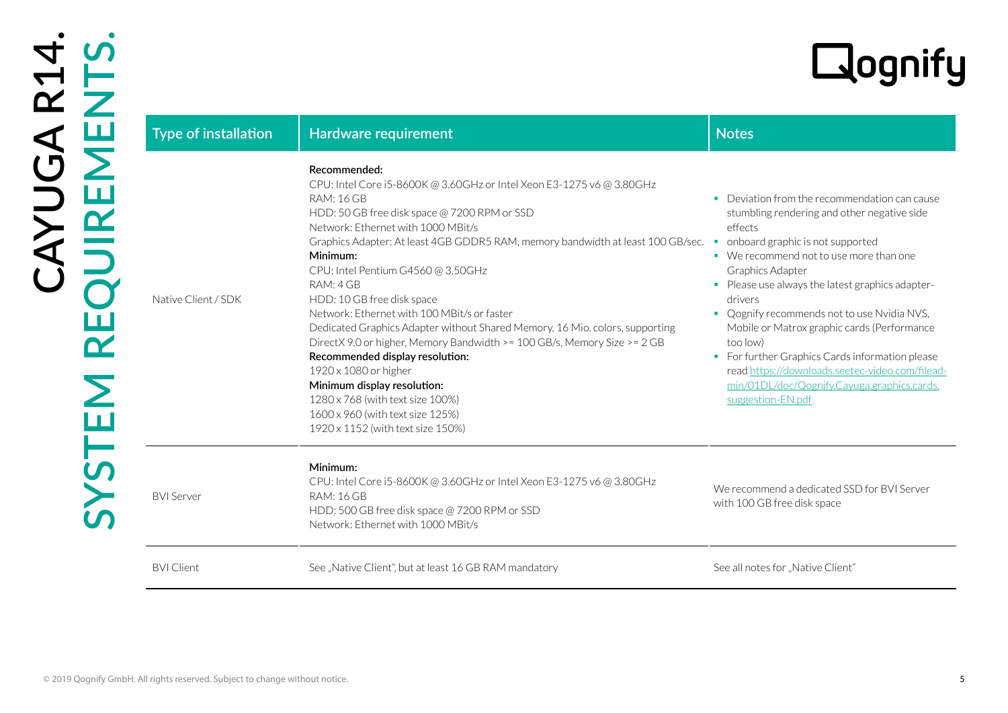| Type of installation | Hardware requirement                                                                                                                                                                                                                                                                                                                                                                                                                                                                                                                                                                                                                                                                                                                                                                                | <b>Notes</b>                                                                                                                                                                                                                                                                                                                                                                                                                                                                                                                                                                                 |
|----------------------|-----------------------------------------------------------------------------------------------------------------------------------------------------------------------------------------------------------------------------------------------------------------------------------------------------------------------------------------------------------------------------------------------------------------------------------------------------------------------------------------------------------------------------------------------------------------------------------------------------------------------------------------------------------------------------------------------------------------------------------------------------------------------------------------------------|----------------------------------------------------------------------------------------------------------------------------------------------------------------------------------------------------------------------------------------------------------------------------------------------------------------------------------------------------------------------------------------------------------------------------------------------------------------------------------------------------------------------------------------------------------------------------------------------|
| Native Client / SDK  | Recommended:<br>CPU: Intel Core i5-8600K @ 3.60GHz or Intel Xeon E3-1275 v6 @ 3.80GHz<br><b>RAM: 16 GB</b><br>HDD: 50 GB free disk space @ 7200 RPM or SSD<br>Network: Ethernet with 1000 MBit/s<br>Graphics Adapter: At least 4GB GDDR5 RAM, memory bandwidth at least 100 GB/sec.<br>Minimum:<br>CPU: Intel Pentium G4560 @ 3.50GHz<br>RAM: 4 GB<br>HDD: 10 GB free disk space<br>Network: Ethernet with 100 MBit/s or faster<br>Dedicated Graphics Adapter without Shared Memory, 16 Mio. colors, supporting<br>DirectX 9.0 or higher, Memory Bandwidth >= 100 GB/s, Memory Size >= 2 GB<br>Recommended display resolution:<br>1920 x 1080 or higher<br>Minimum display resolution:<br>1280 x 768 (with text size 100%)<br>1600 x 960 (with text size 125%)<br>1920 x 1152 (with text size 150%) | • Deviation from the recommendation can cause<br>stumbling rendering and other negative side<br>effects<br>onboard graphic is not supported<br>$\mathcal{L}_{\mathcal{A}}$<br>• We recommend not to use more than one<br>Graphics Adapter<br>• Please use always the latest graphics adapter-<br>drivers<br>• Qognify recommends not to use Nvidia NVS,<br>Mobile or Matrox graphic cards (Performance<br>too low)<br>• For further Graphics Cards information please<br>read https://downloads.seetec-video.com/filead-<br>min/01DL/doc/Qognify.Cayuga.graphics.cards.<br>suggestion-EN.pdf |
| <b>BVI Server</b>    | Minimum:<br>CPU: Intel Core i5-8600K @ 3.60GHz or Intel Xeon E3-1275 v6 @ 3.80GHz<br><b>RAM: 16 GB</b><br>HDD: 500 GB free disk space @ 7200 RPM or SSD<br>Network: Ethernet with 1000 MBit/s                                                                                                                                                                                                                                                                                                                                                                                                                                                                                                                                                                                                       | We recommend a dedicated SSD for BVI Server<br>with 100 GB free disk space                                                                                                                                                                                                                                                                                                                                                                                                                                                                                                                   |
| <b>BVI Client</b>    | See "Native Client", but at least 16 GB RAM mandatory                                                                                                                                                                                                                                                                                                                                                                                                                                                                                                                                                                                                                                                                                                                                               | See all notes for "Native Client"                                                                                                                                                                                                                                                                                                                                                                                                                                                                                                                                                            |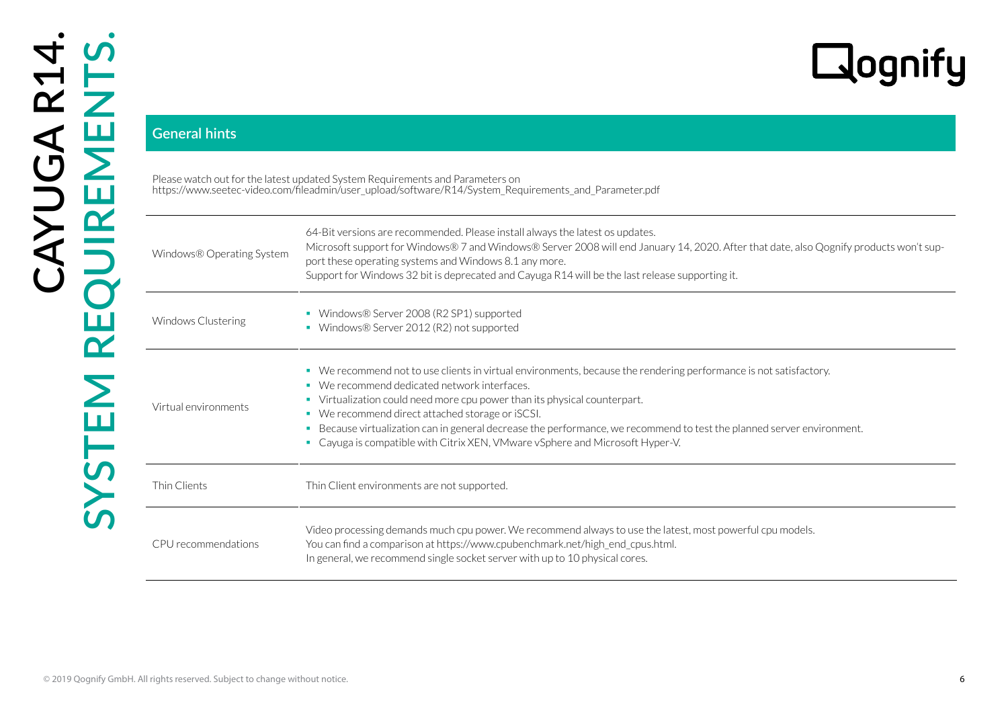| <b>General hints</b>      |                                                                                                                                                                                                                                                                                                                                                                                                                                                                                                                   |
|---------------------------|-------------------------------------------------------------------------------------------------------------------------------------------------------------------------------------------------------------------------------------------------------------------------------------------------------------------------------------------------------------------------------------------------------------------------------------------------------------------------------------------------------------------|
|                           | Please watch out for the latest updated System Requirements and Parameters on<br>https://www.seetec-video.com/fileadmin/user_upload/software/R14/System_Requirements_and_Parameter.pdf                                                                                                                                                                                                                                                                                                                            |
| Windows® Operating System | 64-Bit versions are recommended. Please install always the latest os updates.<br>Microsoft support for Windows® 7 and Windows® Server 2008 will end January 14, 2020. After that date, also Qognify products won't sup-<br>port these operating systems and Windows 8.1 any more.<br>Support for Windows 32 bit is deprecated and Cayuga R14 will be the last release supporting it.                                                                                                                              |
| Windows Clustering        | • Windows® Server 2008 (R2 SP1) supported<br>• Windows® Server 2012 (R2) not supported                                                                                                                                                                                                                                                                                                                                                                                                                            |
| Virtual environments      | • We recommend not to use clients in virtual environments, because the rendering performance is not satisfactory.<br>• We recommend dedicated network interfaces.<br>• Virtualization could need more cpu power than its physical counterpart.<br>• We recommend direct attached storage or iSCSI.<br>Because virtualization can in general decrease the performance, we recommend to test the planned server environment.<br>٠.<br>• Cayuga is compatible with Citrix XEN, VMware vSphere and Microsoft Hyper-V. |
| Thin Clients              | Thin Client environments are not supported.                                                                                                                                                                                                                                                                                                                                                                                                                                                                       |
| CPU recommendations       | Video processing demands much cpu power. We recommend always to use the latest, most powerful cpu models.<br>You can find a comparison at https://www.cpubenchmark.net/high_end_cpus.html.<br>In general, we recommend single socket server with up to 10 physical cores.                                                                                                                                                                                                                                         |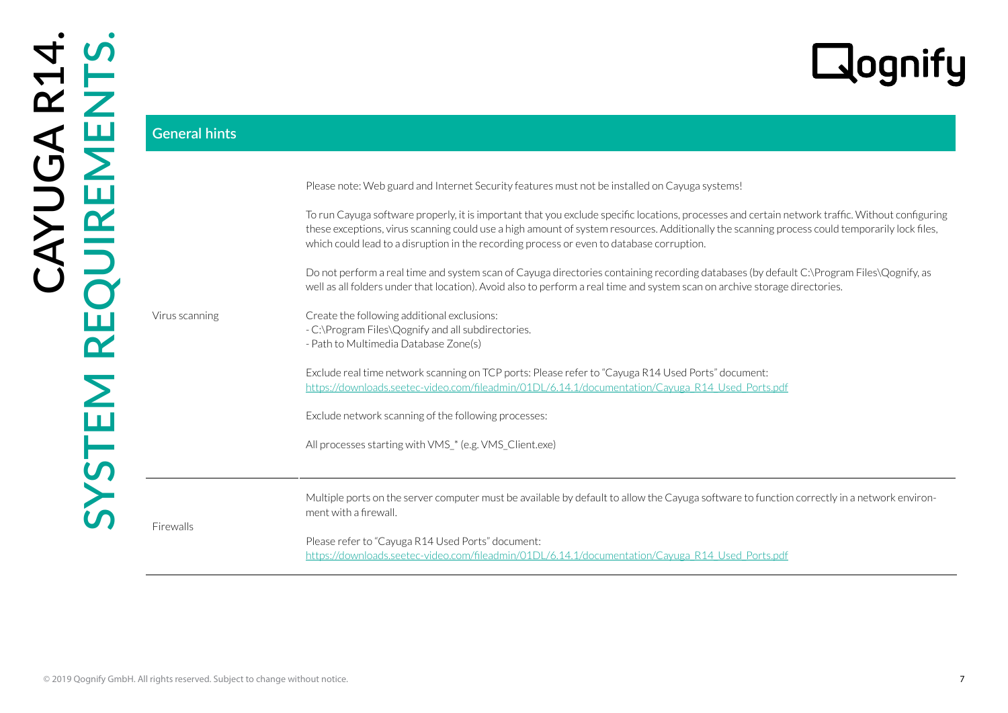|                      | Lognify                                                                                                                                                                                                                                                                                                                                                                                        |
|----------------------|------------------------------------------------------------------------------------------------------------------------------------------------------------------------------------------------------------------------------------------------------------------------------------------------------------------------------------------------------------------------------------------------|
| <b>General hints</b> |                                                                                                                                                                                                                                                                                                                                                                                                |
|                      | Please note: Web guard and Internet Security features must not be installed on Cayuga systems!                                                                                                                                                                                                                                                                                                 |
|                      | To run Cayuga software properly, it is important that you exclude specific locations, processes and certain network traffic. Without configuring<br>these exceptions, virus scanning could use a high amount of system resources. Additionally the scanning process could temporarily lock files,<br>which could lead to a disruption in the recording process or even to database corruption. |
|                      | Do not perform a real time and system scan of Cayuga directories containing recording databases (by default C:\Program Files\Qognify, as<br>well as all folders under that location). Avoid also to perform a real time and system scan on archive storage directories.                                                                                                                        |
| Virus scanning       | Create the following additional exclusions:<br>- C:\Program Files\Qognify and all subdirectories.<br>- Path to Multimedia Database Zone(s)                                                                                                                                                                                                                                                     |
|                      | Exclude real time network scanning on TCP ports: Please refer to "Cayuga R14 Used Ports" document:<br>https://downloads.seetec-video.com/fileadmin/01DL/6.14.1/documentation/Cayuga R14 Used Ports.pdf                                                                                                                                                                                         |
|                      | Exclude network scanning of the following processes:                                                                                                                                                                                                                                                                                                                                           |
|                      | All processes starting with VMS_* (e.g. VMS_Client.exe)                                                                                                                                                                                                                                                                                                                                        |
|                      | Multiple ports on the server computer must be available by default to allow the Cayuga software to function correctly in a network environ-<br>ment with a firewall.                                                                                                                                                                                                                           |
| Firewalls            | Please refer to "Cayuga R14 Used Ports" document:<br>https://downloads.seetec-video.com/fileadmin/01DL/6.14.1/documentation/Cayuga R14 Used Ports.pdf                                                                                                                                                                                                                                          |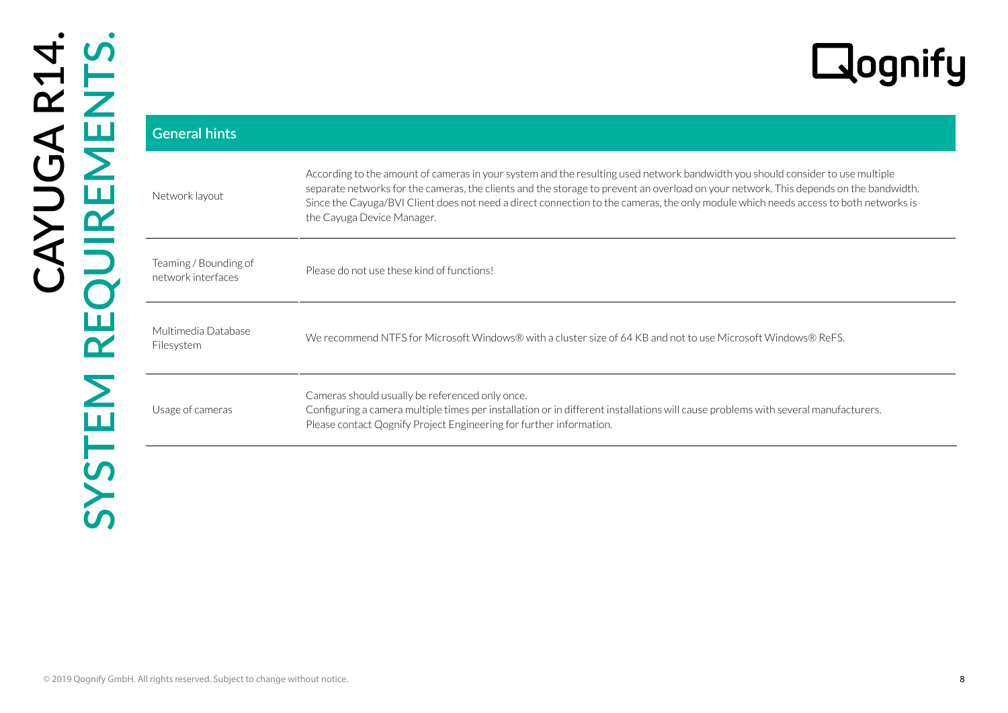| <b>General hints</b>                        |                                                                                                                                                                                                                                                                                                                                                                                                                                               |
|---------------------------------------------|-----------------------------------------------------------------------------------------------------------------------------------------------------------------------------------------------------------------------------------------------------------------------------------------------------------------------------------------------------------------------------------------------------------------------------------------------|
| Network layout                              | According to the amount of cameras in your system and the resulting used network bandwidth you should consider to use multiple<br>separate networks for the cameras, the clients and the storage to prevent an overload on your network. This depends on the bandwidth.<br>Since the Cayuga/BVI Client does not need a direct connection to the cameras, the only module which needs access to both networks is<br>the Cayuga Device Manager. |
| Teaming / Bounding of<br>network interfaces | Please do not use these kind of functions!                                                                                                                                                                                                                                                                                                                                                                                                    |
| Multimedia Database<br>Filesystem           | We recommend NTFS for Microsoft Windows® with a cluster size of 64 KB and not to use Microsoft Windows® ReFS.                                                                                                                                                                                                                                                                                                                                 |
| Usage of cameras                            | Cameras should usually be referenced only once.<br>Configuring a camera multiple times per installation or in different installations will cause problems with several manufacturers.<br>Please contact Qognify Project Engineering for further information.                                                                                                                                                                                  |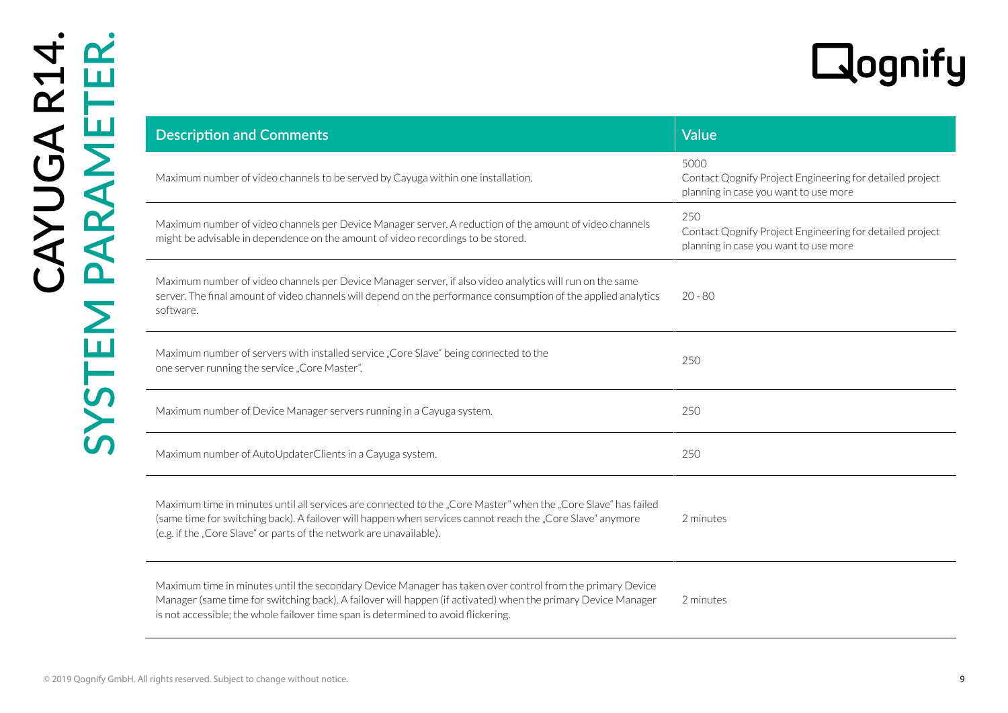|                                                                                                                                                                                                                                                                                                                  | <b>Lacqui</b>                                                                                             |
|------------------------------------------------------------------------------------------------------------------------------------------------------------------------------------------------------------------------------------------------------------------------------------------------------------------|-----------------------------------------------------------------------------------------------------------|
| <b>Description and Comments</b>                                                                                                                                                                                                                                                                                  | <b>Value</b>                                                                                              |
| Maximum number of video channels to be served by Cayuga within one installation.                                                                                                                                                                                                                                 | 5000<br>Contact Qognify Project Engineering for detailed project<br>planning in case you want to use more |
| Maximum number of video channels per Device Manager server. A reduction of the amount of video channels<br>might be advisable in dependence on the amount of video recordings to be stored.                                                                                                                      | 250<br>Contact Qognify Project Engineering for detailed project<br>planning in case you want to use more  |
| Maximum number of video channels per Device Manager server, if also video analytics will run on the same<br>server. The final amount of video channels will depend on the performance consumption of the applied analytics<br>software.                                                                          | $20 - 80$                                                                                                 |
| Maximum number of servers with installed service "Core Slave" being connected to the<br>one server running the service "Core Master".                                                                                                                                                                            | 250                                                                                                       |
| Maximum number of Device Manager servers running in a Cayuga system.                                                                                                                                                                                                                                             | 250                                                                                                       |
| Maximum number of AutoUpdaterClients in a Cayuga system.                                                                                                                                                                                                                                                         | 250                                                                                                       |
| Maximum time in minutes until all services are connected to the "Core Master" when the "Core Slave" has failed<br>(same time for switching back). A failover will happen when services cannot reach the "Core Slave" anymore<br>(e.g. if the "Core Slave" or parts of the network are unavailable).              | 2 minutes                                                                                                 |
| Maximum time in minutes until the secondary Device Manager has taken over control from the primary Device<br>Manager (same time for switching back). A failover will happen (if activated) when the primary Device Manager<br>is not accessible; the whole failover time span is determined to avoid flickering. | 2 minutes                                                                                                 |